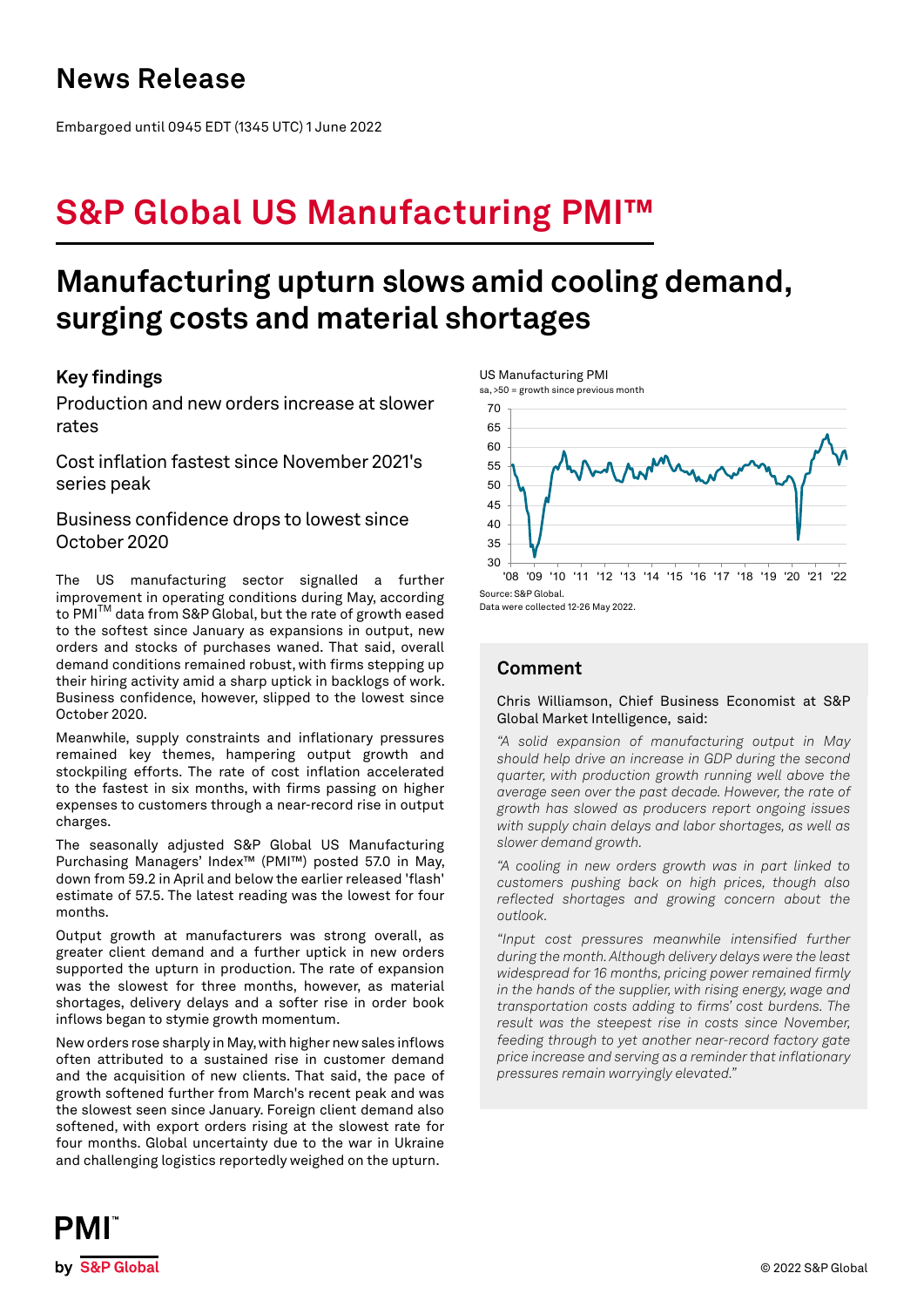## **News Release**

Embargoed until 0945 EDT (1345 UTC) 1 June 2022

# **S&P Global US Manufacturing PMI™**

# **Manufacturing upturn slows amid cooling demand, surging costs and material shortages**

## **Key findings**

Production and new orders increase at slower rates

Cost inflation fastest since November 2021's series peak

Business confidence drops to lowest since October 2020

The US manufacturing sector signalled a further improvement in operating conditions during May, according to PMI<sup>™</sup> data from S&P Global, but the rate of growth eased to the softest since January as expansions in output, new orders and stocks of purchases waned. That said, overall demand conditions remained robust, with firms stepping up their hiring activity amid a sharp uptick in backlogs of work. Business confidence, however, slipped to the lowest since October 2020.

Meanwhile, supply constraints and inflationary pressures remained key themes, hampering output growth and stockpiling efforts. The rate of cost inflation accelerated to the fastest in six months, with firms passing on higher expenses to customers through a near-record rise in output charges.

The seasonally adjusted S&P Global US Manufacturing Purchasing Managers' Index™ (PMI™) posted 57.0 in May, down from 59.2 in April and below the earlier released 'flash' estimate of 57.5. The latest reading was the lowest for four months.

Output growth at manufacturers was strong overall, as greater client demand and a further uptick in new orders supported the upturn in production. The rate of expansion was the slowest for three months, however, as material shortages, delivery delays and a softer rise in order book inflows began to stymie growth momentum.

New orders rose sharply in May, with higher new sales inflows often attributed to a sustained rise in customer demand and the acquisition of new clients. That said, the pace of growth softened further from March's recent peak and was the slowest seen since January. Foreign client demand also softened, with export orders rising at the slowest rate for four months. Global uncertainty due to the war in Ukraine and challenging logistics reportedly weighed on the upturn.



Data were collected 12-26 May 2022.

## **Comment**

### Chris Williamson, Chief Business Economist at S&P Global Market Intelligence, said:

*"A solid expansion of manufacturing output in May should help drive an increase in GDP during the second quarter, with production growth running well above the average seen over the past decade. However, the rate of growth has slowed as producers report ongoing issues with supply chain delays and labor shortages, as well as slower demand growth.* 

*"A cooling in new orders growth was in part linked to customers pushing back on high prices, though also reflected shortages and growing concern about the outlook.*

*"Input cost pressures meanwhile intensified further during the month. Although delivery delays were the least widespread for 16 months, pricing power remained firmly in the hands of the supplier, with rising energy, wage and transportation costs adding to firms' cost burdens. The result was the steepest rise in costs since November, feeding through to yet another near-record factory gate price increase and serving as a reminder that inflationary pressures remain worryingly elevated."*